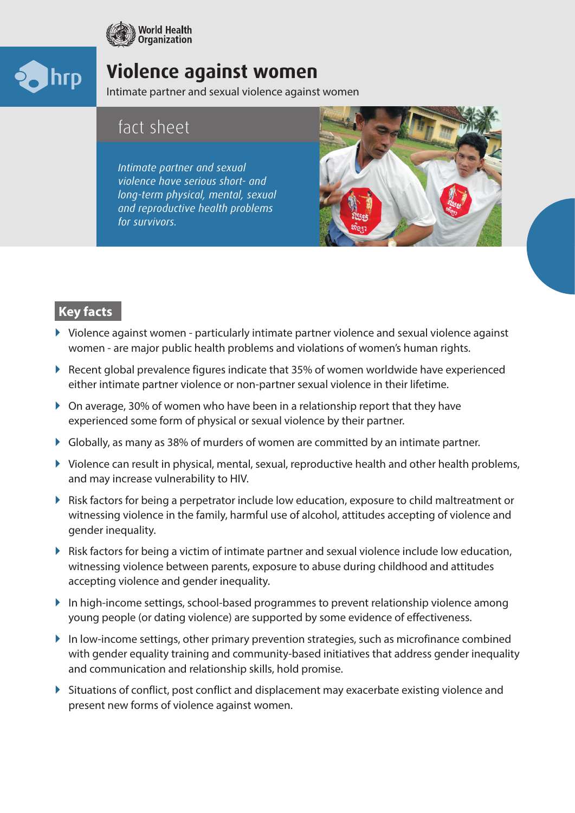



# **Violence against women**

Intimate partner and sexual violence against women

## fact sheet

*Intimate partner and sexual violence have serious short- and long-term physical, mental, sexual and reproductive health problems for survivors.*



## **Key facts**

- $\blacktriangleright$  Violence against women particularly intimate partner violence and sexual violence against women - are major public health problems and violations of women's human rights.
- ` Recent global prevalence figures indicate that 35% of women worldwide have experienced either intimate partner violence or non-partner sexual violence in their lifetime.
- $\triangleright$  On average, 30% of women who have been in a relationship report that they have experienced some form of physical or sexual violence by their partner.
- $\triangleright$  Globally, as many as 38% of murders of women are committed by an intimate partner.
- $\triangleright$  Violence can result in physical, mental, sexual, reproductive health and other health problems, and may increase vulnerability to HIV.
- ` Risk factors for being a perpetrator include low education, exposure to child maltreatment or witnessing violence in the family, harmful use of alcohol, attitudes accepting of violence and gender inequality.
- $\triangleright$  Risk factors for being a victim of intimate partner and sexual violence include low education, witnessing violence between parents, exposure to abuse during childhood and attitudes accepting violence and gender inequality.
- $\blacktriangleright$  In high-income settings, school-based programmes to prevent relationship violence among young people (or dating violence) are supported by some evidence of effectiveness.
- $\blacktriangleright$  In low-income settings, other primary prevention strategies, such as microfinance combined with gender equality training and community-based initiatives that address gender inequality and communication and relationship skills, hold promise.
- $\triangleright$  Situations of conflict, post conflict and displacement may exacerbate existing violence and present new forms of violence against women.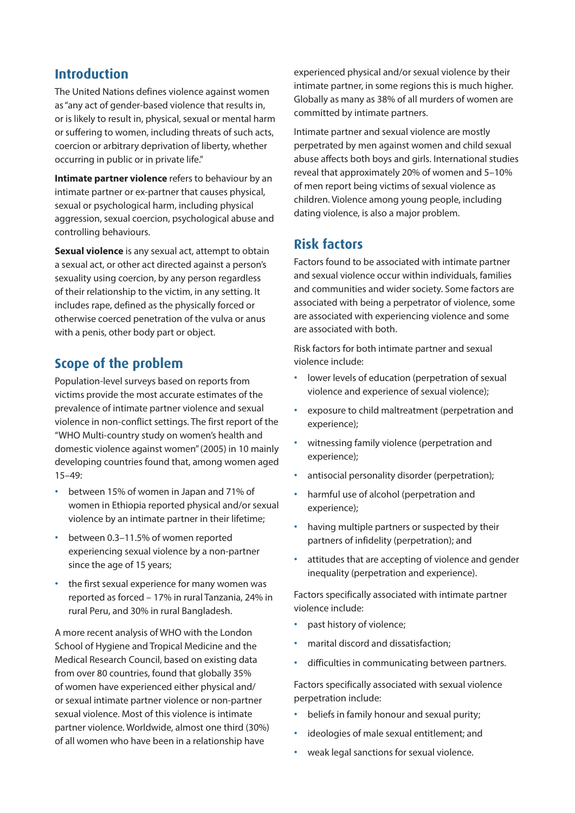#### **Introduction**

The United Nations defines violence against women as "any act of gender-based violence that results in, or is likely to result in, physical, sexual or mental harm or suffering to women, including threats of such acts, coercion or arbitrary deprivation of liberty, whether occurring in public or in private life."

**Intimate partner violence** refers to behaviour by an intimate partner or ex-partner that causes physical, sexual or psychological harm, including physical aggression, sexual coercion, psychological abuse and controlling behaviours.

**Sexual violence** is any sexual act, attempt to obtain a sexual act, or other act directed against a person's sexuality using coercion, by any person regardless of their relationship to the victim, in any setting. It includes rape, defined as the physically forced or otherwise coerced penetration of the vulva or anus with a penis, other body part or object.

### **Scope of the problem**

Population-level surveys based on reports from victims provide the most accurate estimates of the prevalence of intimate partner violence and sexual violence in non-conflict settings. The first report of the "WHO Multi-country study on women's health and domestic violence against women" (2005) in 10 mainly developing countries found that, among women aged 15–49:

- between 15% of women in Japan and 71% of women in Ethiopia reported physical and/or sexual violence by an intimate partner in their lifetime;
- between 0.3–11.5% of women reported experiencing sexual violence by a non-partner since the age of 15 years;
- the first sexual experience for many women was reported as forced – 17% in rural Tanzania, 24% in rural Peru, and 30% in rural Bangladesh.

A more recent analysis of WHO with the London School of Hygiene and Tropical Medicine and the Medical Research Council, based on existing data from over 80 countries, found that globally 35% of women have experienced either physical and/ or sexual intimate partner violence or non-partner sexual violence. Most of this violence is intimate partner violence. Worldwide, almost one third (30%) of all women who have been in a relationship have

experienced physical and/or sexual violence by their intimate partner, in some regions this is much higher. Globally as many as 38% of all murders of women are committed by intimate partners.

Intimate partner and sexual violence are mostly perpetrated by men against women and child sexual abuse affects both boys and girls. International studies reveal that approximately 20% of women and 5–10% of men report being victims of sexual violence as children. Violence among young people, including dating violence, is also a major problem.

### **Risk factors**

Factors found to be associated with intimate partner and sexual violence occur within individuals, families and communities and wider society. Some factors are associated with being a perpetrator of violence, some are associated with experiencing violence and some are associated with both.

Risk factors for both intimate partner and sexual violence include:

- lower levels of education (perpetration of sexual violence and experience of sexual violence);
- exposure to child maltreatment (perpetration and experience);
- witnessing family violence (perpetration and experience);
- antisocial personality disorder (perpetration);
- harmful use of alcohol (perpetration and experience);
- having multiple partners or suspected by their partners of infidelity (perpetration); and
- attitudes that are accepting of violence and gender inequality (perpetration and experience).

Factors specifically associated with intimate partner violence include:

- past history of violence;
- marital discord and dissatisfaction;
- difficulties in communicating between partners.

Factors specifically associated with sexual violence perpetration include:

- beliefs in family honour and sexual purity;
- ideologies of male sexual entitlement; and
- weak legal sanctions for sexual violence.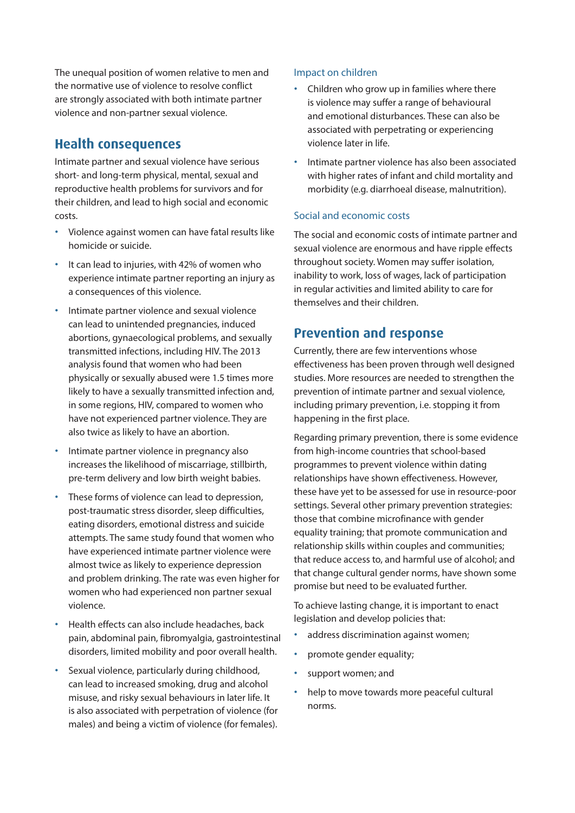The unequal position of women relative to men and the normative use of violence to resolve conflict are strongly associated with both intimate partner violence and non-partner sexual violence.

#### **Health consequences**

Intimate partner and sexual violence have serious short- and long-term physical, mental, sexual and reproductive health problems for survivors and for their children, and lead to high social and economic costs.

- Violence against women can have fatal results like homicide or suicide.
- It can lead to injuries, with 42% of women who experience intimate partner reporting an injury as a consequences of this violence.
- Intimate partner violence and sexual violence can lead to unintended pregnancies, induced abortions, gynaecological problems, and sexually transmitted infections, including HIV. The 2013 analysis found that women who had been physically or sexually abused were 1.5 times more likely to have a sexually transmitted infection and, in some regions, HIV, compared to women who have not experienced partner violence. They are also twice as likely to have an abortion.
- Intimate partner violence in pregnancy also increases the likelihood of miscarriage, stillbirth, pre-term delivery and low birth weight babies.
- These forms of violence can lead to depression, post-traumatic stress disorder, sleep difficulties, eating disorders, emotional distress and suicide attempts. The same study found that women who have experienced intimate partner violence were almost twice as likely to experience depression and problem drinking. The rate was even higher for women who had experienced non partner sexual violence.
- Health effects can also include headaches, back pain, abdominal pain, fibromyalgia, gastrointestinal disorders, limited mobility and poor overall health.
- Sexual violence, particularly during childhood, can lead to increased smoking, drug and alcohol misuse, and risky sexual behaviours in later life. It is also associated with perpetration of violence (for males) and being a victim of violence (for females).

#### Impact on children

- Children who grow up in families where there is violence may suffer a range of behavioural and emotional disturbances. These can also be associated with perpetrating or experiencing violence later in life.
- Intimate partner violence has also been associated with higher rates of infant and child mortality and morbidity (e.g. diarrhoeal disease, malnutrition).

#### Social and economic costs

The social and economic costs of intimate partner and sexual violence are enormous and have ripple effects throughout society. Women may suffer isolation, inability to work, loss of wages, lack of participation in regular activities and limited ability to care for themselves and their children.

#### **Prevention and response**

Currently, there are few interventions whose effectiveness has been proven through well designed studies. More resources are needed to strengthen the prevention of intimate partner and sexual violence, including primary prevention, i.e. stopping it from happening in the first place.

Regarding primary prevention, there is some evidence from high-income countries that school-based programmes to prevent violence within dating relationships have shown effectiveness. However, these have yet to be assessed for use in resource-poor settings. Several other primary prevention strategies: those that combine microfinance with gender equality training; that promote communication and relationship skills within couples and communities; that reduce access to, and harmful use of alcohol; and that change cultural gender norms, have shown some promise but need to be evaluated further.

To achieve lasting change, it is important to enact legislation and develop policies that:

- address discrimination against women;
- promote gender equality;
- support women; and
- help to move towards more peaceful cultural norms.